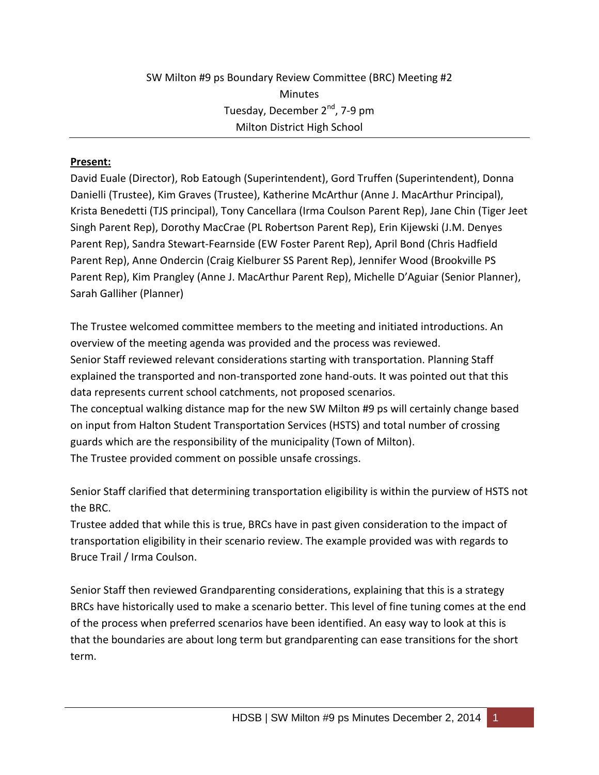## **Present:**

David Euale (Director), Rob Eatough (Superintendent), Gord Truffen (Superintendent), Donna Danielli (Trustee), Kim Graves (Trustee), Katherine McArthur (Anne J. MacArthur Principal), Krista Benedetti (TJS principal), Tony Cancellara (Irma Coulson Parent Rep), Jane Chin (Tiger Jeet Singh Parent Rep), Dorothy MacCrae (PL Robertson Parent Rep), Erin Kijewski (J.M. Denyes Parent Rep), Sandra Stewart-Fearnside (EW Foster Parent Rep), April Bond (Chris Hadfield Parent Rep), Anne Ondercin (Craig Kielburer SS Parent Rep), Jennifer Wood (Brookville PS Parent Rep), Kim Prangley (Anne J. MacArthur Parent Rep), Michelle D'Aguiar (Senior Planner), Sarah Galliher (Planner)

The Trustee welcomed committee members to the meeting and initiated introductions. An overview of the meeting agenda was provided and the process was reviewed. Senior Staff reviewed relevant considerations starting with transportation. Planning Staff explained the transported and non-transported zone hand-outs. It was pointed out that this data represents current school catchments, not proposed scenarios. The conceptual walking distance map for the new SW Milton #9 ps will certainly change based on input from Halton Student Transportation Services (HSTS) and total number of crossing guards which are the responsibility of the municipality (Town of Milton). The Trustee provided comment on possible unsafe crossings.

Senior Staff clarified that determining transportation eligibility is within the purview of HSTS not the BRC.

Trustee added that while this is true, BRCs have in past given consideration to the impact of transportation eligibility in their scenario review. The example provided was with regards to Bruce Trail / Irma Coulson.

Senior Staff then reviewed Grandparenting considerations, explaining that this is a strategy BRCs have historically used to make a scenario better. This level of fine tuning comes at the end of the process when preferred scenarios have been identified. An easy way to look at this is that the boundaries are about long term but grandparenting can ease transitions for the short term.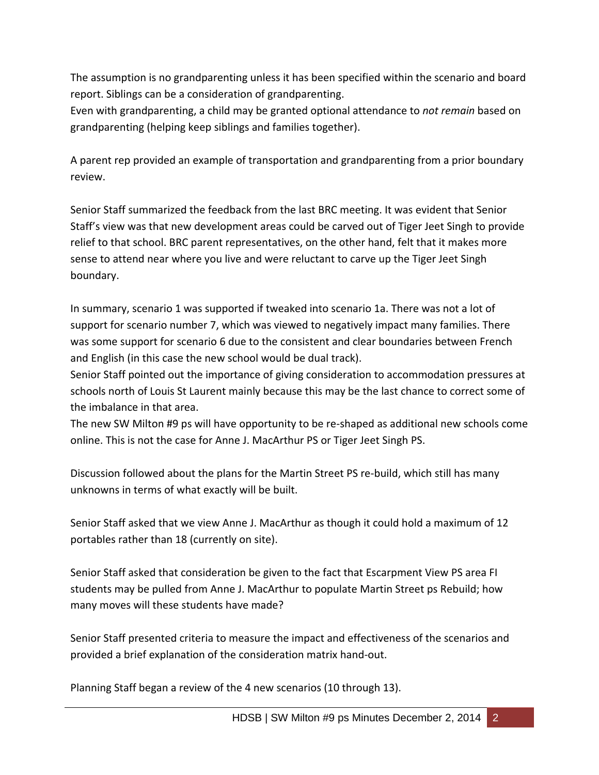The assumption is no grandparenting unless it has been specified within the scenario and board report. Siblings can be a consideration of grandparenting.

Even with grandparenting, a child may be granted optional attendance to *not remain* based on grandparenting (helping keep siblings and families together).

A parent rep provided an example of transportation and grandparenting from a prior boundary review.

Senior Staff summarized the feedback from the last BRC meeting. It was evident that Senior Staff's view was that new development areas could be carved out of Tiger Jeet Singh to provide relief to that school. BRC parent representatives, on the other hand, felt that it makes more sense to attend near where you live and were reluctant to carve up the Tiger Jeet Singh boundary.

In summary, scenario 1 was supported if tweaked into scenario 1a. There was not a lot of support for scenario number 7, which was viewed to negatively impact many families. There was some support for scenario 6 due to the consistent and clear boundaries between French and English (in this case the new school would be dual track).

Senior Staff pointed out the importance of giving consideration to accommodation pressures at schools north of Louis St Laurent mainly because this may be the last chance to correct some of the imbalance in that area.

The new SW Milton #9 ps will have opportunity to be re-shaped as additional new schools come online. This is not the case for Anne J. MacArthur PS or Tiger Jeet Singh PS.

Discussion followed about the plans for the Martin Street PS re-build, which still has many unknowns in terms of what exactly will be built.

Senior Staff asked that we view Anne J. MacArthur as though it could hold a maximum of 12 portables rather than 18 (currently on site).

Senior Staff asked that consideration be given to the fact that Escarpment View PS area FI students may be pulled from Anne J. MacArthur to populate Martin Street ps Rebuild; how many moves will these students have made?

Senior Staff presented criteria to measure the impact and effectiveness of the scenarios and provided a brief explanation of the consideration matrix hand-out.

Planning Staff began a review of the 4 new scenarios (10 through 13).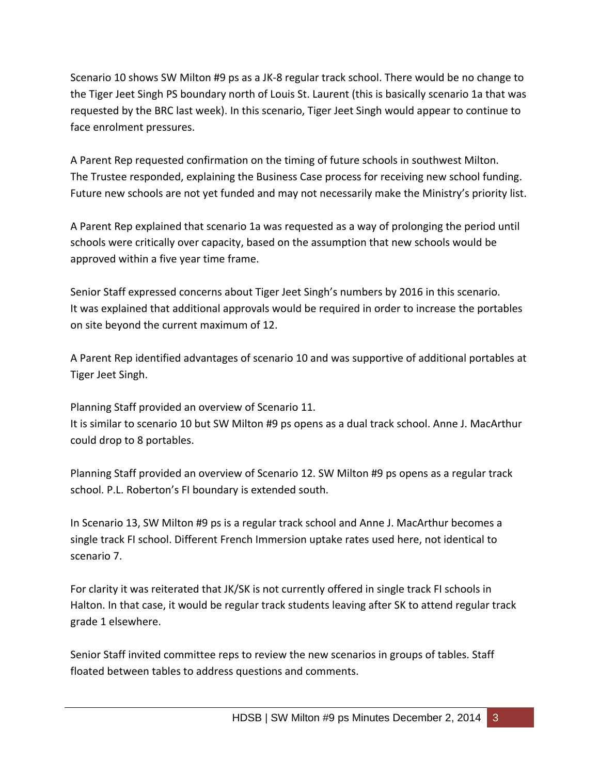Scenario 10 shows SW Milton #9 ps as a JK-8 regular track school. There would be no change to the Tiger Jeet Singh PS boundary north of Louis St. Laurent (this is basically scenario 1a that was requested by the BRC last week). In this scenario, Tiger Jeet Singh would appear to continue to face enrolment pressures.

A Parent Rep requested confirmation on the timing of future schools in southwest Milton. The Trustee responded, explaining the Business Case process for receiving new school funding. Future new schools are not yet funded and may not necessarily make the Ministry's priority list.

A Parent Rep explained that scenario 1a was requested as a way of prolonging the period until schools were critically over capacity, based on the assumption that new schools would be approved within a five year time frame.

Senior Staff expressed concerns about Tiger Jeet Singh's numbers by 2016 in this scenario. It was explained that additional approvals would be required in order to increase the portables on site beyond the current maximum of 12.

A Parent Rep identified advantages of scenario 10 and was supportive of additional portables at Tiger Jeet Singh.

Planning Staff provided an overview of Scenario 11.

It is similar to scenario 10 but SW Milton #9 ps opens as a dual track school. Anne J. MacArthur could drop to 8 portables.

Planning Staff provided an overview of Scenario 12. SW Milton #9 ps opens as a regular track school. P.L. Roberton's FI boundary is extended south.

In Scenario 13, SW Milton #9 ps is a regular track school and Anne J. MacArthur becomes a single track FI school. Different French Immersion uptake rates used here, not identical to scenario 7.

For clarity it was reiterated that JK/SK is not currently offered in single track FI schools in Halton. In that case, it would be regular track students leaving after SK to attend regular track grade 1 elsewhere.

Senior Staff invited committee reps to review the new scenarios in groups of tables. Staff floated between tables to address questions and comments.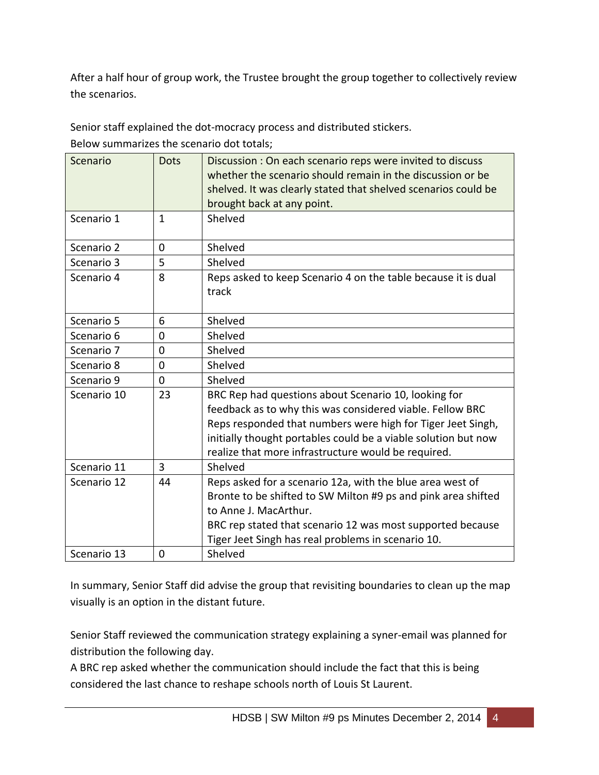After a half hour of group work, the Trustee brought the group together to collectively review the scenarios.

Senior staff explained the dot-mocracy process and distributed stickers.

Below summarizes the scenario dot totals;

| Scenario    | <b>Dots</b>    | Discussion: On each scenario reps were invited to discuss<br>whether the scenario should remain in the discussion or be<br>shelved. It was clearly stated that shelved scenarios could be<br>brought back at any point.                                                                                   |
|-------------|----------------|-----------------------------------------------------------------------------------------------------------------------------------------------------------------------------------------------------------------------------------------------------------------------------------------------------------|
| Scenario 1  | $\mathbf{1}$   | Shelved                                                                                                                                                                                                                                                                                                   |
| Scenario 2  | $\Omega$       | Shelved                                                                                                                                                                                                                                                                                                   |
| Scenario 3  | 5              | Shelved                                                                                                                                                                                                                                                                                                   |
| Scenario 4  | 8              | Reps asked to keep Scenario 4 on the table because it is dual<br>track                                                                                                                                                                                                                                    |
| Scenario 5  | 6              | Shelved                                                                                                                                                                                                                                                                                                   |
| Scenario 6  | $\overline{0}$ | Shelved                                                                                                                                                                                                                                                                                                   |
| Scenario 7  | 0              | Shelved                                                                                                                                                                                                                                                                                                   |
| Scenario 8  | $\overline{0}$ | Shelved                                                                                                                                                                                                                                                                                                   |
| Scenario 9  | $\overline{0}$ | Shelved                                                                                                                                                                                                                                                                                                   |
| Scenario 10 | 23             | BRC Rep had questions about Scenario 10, looking for<br>feedback as to why this was considered viable. Fellow BRC<br>Reps responded that numbers were high for Tiger Jeet Singh,<br>initially thought portables could be a viable solution but now<br>realize that more infrastructure would be required. |
| Scenario 11 | 3              | Shelved                                                                                                                                                                                                                                                                                                   |
| Scenario 12 | 44             | Reps asked for a scenario 12a, with the blue area west of<br>Bronte to be shifted to SW Milton #9 ps and pink area shifted<br>to Anne J. MacArthur.<br>BRC rep stated that scenario 12 was most supported because<br>Tiger Jeet Singh has real problems in scenario 10.                                   |
| Scenario 13 | 0              | Shelved                                                                                                                                                                                                                                                                                                   |

In summary, Senior Staff did advise the group that revisiting boundaries to clean up the map visually is an option in the distant future.

Senior Staff reviewed the communication strategy explaining a syner-email was planned for distribution the following day.

A BRC rep asked whether the communication should include the fact that this is being considered the last chance to reshape schools north of Louis St Laurent.